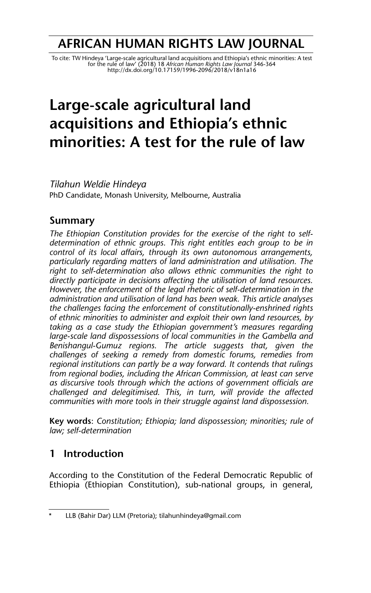## **AFRICAN HUMAN RIGHTS LAW JOURNAL**

To cite: TW Hindeya 'Large-scale agricultural land acquisitions and Ethiopia's ethnic minorities: A test<br>for the rule of law' (2018) 18 African Human Rights Law Journal 346-364<br>http://dx.doi.org/10.17159/1996-2096/2018/v18

# **Large-scale agricultural land acquisitions and Ethiopia's ethnic minorities: A test for the rule of law**

*Tilahun Weldie Hindeya* PhD Candidate, Monash University, Melbourne, Australia

## **Summary**

*The Ethiopian Constitution provides for the exercise of the right to selfdetermination of ethnic groups. This right entitles each group to be in control of its local affairs, through its own autonomous arrangements, particularly regarding matters of land administration and utilisation. The right to self-determination also allows ethnic communities the right to directly participate in decisions affecting the utilisation of land resources. However, the enforcement of the legal rhetoric of self-determination in the administration and utilisation of land has been weak. This article analyses the challenges facing the enforcement of constitutionally-enshrined rights of ethnic minorities to administer and exploit their own land resources, by taking as a case study the Ethiopian government's measures regarding large-scale land dispossessions of local communities in the Gambella and Benishangul-Gumuz regions. The article suggests that, given the challenges of seeking a remedy from domestic forums, remedies from regional institutions can partly be a way forward. It contends that rulings from regional bodies, including the African Commission, at least can serve as discursive tools through which the actions of government officials are challenged and delegitimised. This, in turn, will provide the affected communities with more tools in their struggle against land dispossession.* 

**Key words**: *Constitution; Ethiopia; land dispossession; minorities; rule of law; self-determination*

## **1 Introduction**

According to the Constitution of the Federal Democratic Republic of Ethiopia (Ethiopian Constitution), sub-national groups, in general,

LLB (Bahir Dar) LLM (Pretoria); tilahunhindeya@gmail.com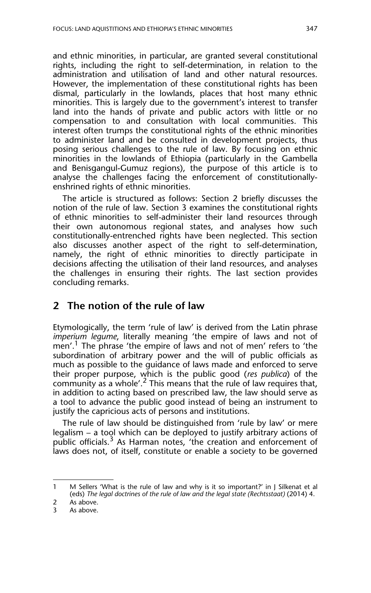and ethnic minorities, in particular, are granted several constitutional rights, including the right to self-determination, in relation to the administration and utilisation of land and other natural resources. However, the implementation of these constitutional rights has been dismal, particularly in the lowlands, places that host many ethnic minorities. This is largely due to the government's interest to transfer land into the hands of private and public actors with little or no compensation to and consultation with local communities. This interest often trumps the constitutional rights of the ethnic minorities to administer land and be consulted in development projects, thus posing serious challenges to the rule of law. By focusing on ethnic minorities in the lowlands of Ethiopia (particularly in the Gambella and Benisgangul-Gumuz regions), the purpose of this article is to analyse the challenges facing the enforcement of constitutionallyenshrined rights of ethnic minorities.

The article is structured as follows: Section 2 briefly discusses the notion of the rule of law. Section 3 examines the constitutional rights of ethnic minorities to self-administer their land resources through their own autonomous regional states, and analyses how such constitutionally-entrenched rights have been neglected. This section also discusses another aspect of the right to self-determination, namely, the right of ethnic minorities to directly participate in decisions affecting the utilisation of their land resources, and analyses the challenges in ensuring their rights. The last section provides concluding remarks.

#### **2 The notion of the rule of law**

Etymologically, the term 'rule of law' is derived from the Latin phrase *imperium legume*, literally meaning 'the empire of laws and not of men'.<sup>1</sup> The phrase 'the empire of laws and not of men' refers to 'the subordination of arbitrary power and the will of public officials as much as possible to the guidance of laws made and enforced to serve their proper purpose, which is the public good (*res publica*) of the community as a whole'.<sup>2</sup> This means that the rule of law requires that, in addition to acting based on prescribed law, the law should serve as a tool to advance the public good instead of being an instrument to justify the capricious acts of persons and institutions.

The rule of law should be distinguished from 'rule by law' or mere legalism – a tool which can be deployed to justify arbitrary actions of public officials.<sup>3</sup> As Harman notes, 'the creation and enforcement of laws does not, of itself, constitute or enable a society to be governed

<sup>1</sup> M Sellers 'What is the rule of law and why is it so important?' in J Silkenat et al (eds) *The legal doctrines of the rule of law and the legal state (Rechtsstaat)* (2014) 4.

<sup>2</sup> As above.

<sup>3</sup> As above.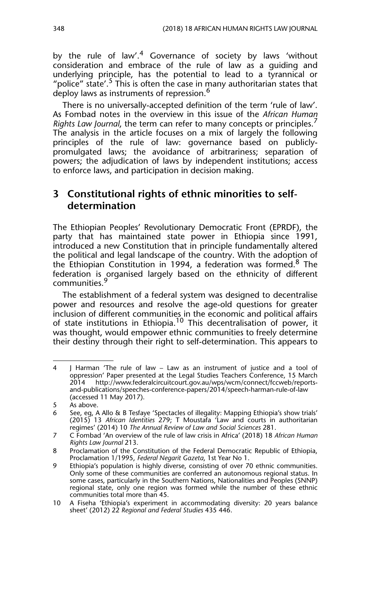by the rule of law'.<sup>4</sup> Governance of society by laws 'without consideration and embrace of the rule of law as a guiding and underlying principle, has the potential to lead to a tyrannical or "police" state'.<sup>5</sup> This is often the case in many authoritarian states that deploy laws as instruments of repression.<sup>6</sup>

There is no universally-accepted definition of the term 'rule of law'. As Fombad notes in the overview in this issue of the *African Human Rights Law Journal*, the term can refer to many concepts or principles.<sup>7</sup> The analysis in the article focuses on a mix of largely the following principles of the rule of law: governance based on publiclypromulgated laws; the avoidance of arbitrariness; separation of powers; the adjudication of laws by independent institutions; access to enforce laws, and participation in decision making.

## **3 Constitutional rights of ethnic minorities to selfdetermination**

The Ethiopian Peoples' Revolutionary Democratic Front (EPRDF), the party that has maintained state power in Ethiopia since 1991, introduced a new Constitution that in principle fundamentally altered the political and legal landscape of the country. With the adoption of the Ethiopian Constitution in 1994, a federation was formed.<sup>8</sup> The federation is organised largely based on the ethnicity of different communities.<sup>9</sup>

The establishment of a federal system was designed to decentralise power and resources and resolve the age-old questions for greater inclusion of different communities in the economic and political affairs of state institutions in Ethiopia.<sup>10</sup> This decentralisation of power, it was thought, would empower ethnic communities to freely determine their destiny through their right to self-determination. This appears to

<sup>4</sup> J Harman 'The rule of law – Law as an instrument of justice and a tool of oppression' Paper presented at the Legal Studies Teachers Conference, 15 March 2014 http://www.federalcircuitcourt.gov.au/wps/wcm/connect/fccweb/reportsand-publications/speeches-conference-papers/2014/speech-harman-rule-of-law (accessed 11 May 2017).

<sup>5</sup> As above.

<sup>6</sup> See, eg, A Allo & B Tesfaye 'Spectacles of illegality: Mapping Ethiopia's show trials' (2015) 13 *African Identities* 279; T Moustafa 'Law and courts in authoritarian regimes' (2014) 10 *The Annual Review of Law and Social Sciences* 281.

<sup>7</sup> C Fombad 'An overview of the rule of law crisis in Africa' (2018) 18 *African Human Rights Law Journal* 213.

<sup>8</sup> Proclamation of the Constitution of the Federal Democratic Republic of Ethiopia, Proclamation 1/1995, *Federal Negarit Gazeta*, 1st Year No 1.

<sup>9</sup> Ethiopia's population is highly diverse, consisting of over 70 ethnic communities. Only some of these communities are conferred an autonomous regional status. In some cases, particularly in the Southern Nations, Nationalities and Peoples (SNNP) regional state, only one region was formed while the number of these ethnic communities total more than 45.

<sup>10</sup> A Fiseha 'Ethiopia's experiment in accommodating diversity: 20 years balance sheet' (2012) 22 *Regional and Federal Studies* 435 446.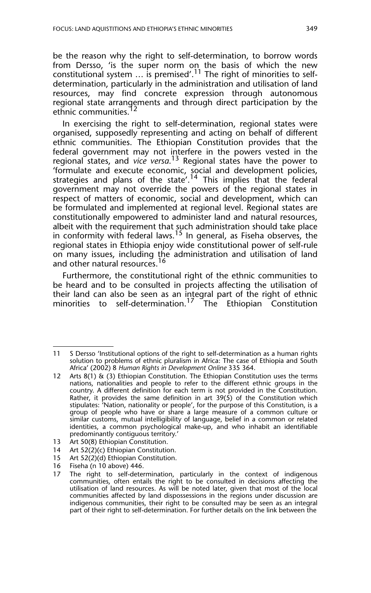be the reason why the right to self-determination, to borrow words from Dersso, 'is the super norm on the basis of which the new constitutional system  $\ldots$  is premised'. $^{11}$  The right of minorities to selfdetermination, particularly in the administration and utilisation of land resources, may find concrete expression through autonomous regional state arrangements and through direct participation by the ethnic communities.<sup>12</sup>

In exercising the right to self-determination, regional states were organised, supposedly representing and acting on behalf of different ethnic communities. The Ethiopian Constitution provides that the federal government may not interfere in the powers vested in the regional states, and *vice versa*.<sup>13</sup> Regional states have the power to 'formulate and execute economic, social and development policies, strategies and plans of the state'.<sup>14</sup> This implies that the federal government may not override the powers of the regional states in respect of matters of economic, social and development, which can be formulated and implemented at regional level. Regional states are constitutionally empowered to administer land and natural resources, albeit with the requirement that such administration should take place in conformity with federal laws.<sup>15</sup> In general, as Fiseha observes, the regional states in Ethiopia enjoy wide constitutional power of self-rule on many issues, including the administration and utilisation of land and other natural resources.<sup>16</sup>

Furthermore, the constitutional right of the ethnic communities to be heard and to be consulted in projects affecting the utilisation of their land can also be seen as an integral part of the right of ethnic minorities to self-determination.<sup>17</sup> The Ethiopian Constitution

13 Art 50(8) Ethiopian Constitution.

- 15 Art 52(2)(d) Ethiopian Constitution.<br>16 Fiseha (n 10 above) 446.
- Fiseha (n 10 above) 446.

<sup>11</sup> S Dersso 'Institutional options of the right to self-determination as a human rights solution to problems of ethnic pluralism in Africa: The case of Ethiopia and South Africa' (2002) 8 *Human Rights in Development Online* 335 364.

<sup>12</sup> Arts 8(1) & (3) Ethiopian Constitution. The Ethiopian Constitution uses the terms nations, nationalities and people to refer to the different ethnic groups in the country. A different definition for each term is not provided in the Constitution. Rather, it provides the same definition in art 39(5) of the Constitution which stipulates: 'Nation, nationality or people', for the purpose of this Constitution, is a group of people who have or share a large measure of a common culture or similar customs, mutual intelligibility of language, belief in a common or related identities, a common psychological make-up, and who inhabit an identifiable predominantly contiguous territory.'

<sup>14</sup> Art 52(2)(c) Ethiopian Constitution.

<sup>17</sup> The right to self-determination, particularly in the context of indigenous communities, often entails the right to be consulted in decisions affecting the utilisation of land resources. As will be noted later, given that most of the local communities affected by land dispossessions in the regions under discussion are indigenous communities, their right to be consulted may be seen as an integral part of their right to self-determination. For further details on the link between the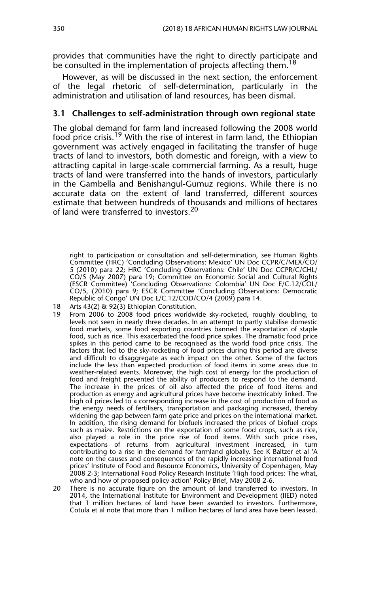provides that communities have the right to directly participate and be consulted in the implementation of projects affecting them.<sup>18</sup>

However, as will be discussed in the next section, the enforcement of the legal rhetoric of self-determination, particularly in the administration and utilisation of land resources, has been dismal.

#### **3.1 Challenges to self-administration through own regional state**

The global demand for farm land increased following the 2008 world food price crisis.<sup>19</sup> With the rise of interest in farm land, the Ethiopian government was actively engaged in facilitating the transfer of huge tracts of land to investors, both domestic and foreign, with a view to attracting capital in large-scale commercial farming. As a result, huge tracts of land were transferred into the hands of investors, particularly in the Gambella and Benishangul-Gumuz regions. While there is no accurate data on the extent of land transferred, different sources estimate that between hundreds of thousands and millions of hectares of land were transferred to investors.<sup>20</sup>

right to participation or consultation and self-determination, see Human Rights Committee (HRC) 'Concluding Observations: Mexico' UN Doc CCPR/C/MEX/CO/ 5 (2010) para 22; HRC 'Concluding Observations: Chile' UN Doc CCPR/C/CHL/ CO/5 (May 2007) para 19; Committee on Economic Social and Cultural Rights (ESCR Committee) 'Concluding Observations: Colombia' UN Doc E/C.12/COL/ CO/5, (2010) para 9; ESCR Committee 'Concluding Observations: Democratic Republic of Congo' UN Doc E/C.12/COD/CO/4 (2009) para 14.

<sup>18</sup> Arts 43(2) & 92(3) Ethiopian Constitution.

<sup>19</sup> From 2006 to 2008 food prices worldwide sky-rocketed, roughly doubling, to levels not seen in nearly three decades. In an attempt to partly stabilise domestic food markets, some food exporting countries banned the exportation of staple food, such as rice. This exacerbated the food price spikes. The dramatic food price spikes in this period came to be recognised as the world food price crisis. The factors that led to the sky-rocketing of food prices during this period are diverse and difficult to disaggregate as each impact on the other. Some of the factors include the less than expected production of food items in some areas due to weather-related events. Moreover, the high cost of energy for the production of food and freight prevented the ability of producers to respond to the demand. The increase in the prices of oil also affected the price of food items and production as energy and agricultural prices have become inextricably linked. The high oil prices led to a corresponding increase in the cost of production of food as the energy needs of fertilisers, transportation and packaging increased, thereby widening the gap between farm gate price and prices on the international market. In addition, the rising demand for biofuels increased the prices of biofuel crops such as maize. Restrictions on the exportation of some food crops, such as rice, also played a role in the price rise of food items. With such price rises, expectations of returns from agricultural investment increased, in turn contributing to a rise in the demand for farmland globally. See K Baltzer et al 'A note on the causes and consequences of the rapidly increasing international food prices' Institute of Food and Resource Economics, University of Copenhagen, May 2008 2-3; International Food Policy Research Institute 'High food prices: The what, who and how of proposed policy action' Policy Brief, May 2008 2-6.

<sup>20</sup> There is no accurate figure on the amount of land transferred to investors. In 2014, the International Institute for Environment and Development (IIED) noted that 1 million hectares of land have been awarded to investors. Furthermore, Cotula et al note that more than 1 million hectares of land area have been leased.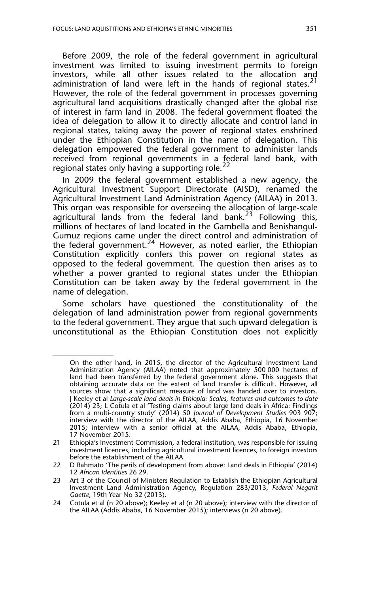Before 2009, the role of the federal government in agricultural investment was limited to issuing investment permits to foreign investors, while all other issues related to the allocation and administration of land were left in the hands of regional states.<sup>21</sup> However, the role of the federal government in processes governing agricultural land acquisitions drastically changed after the global rise of interest in farm land in 2008. The federal government floated the idea of delegation to allow it to directly allocate and control land in regional states, taking away the power of regional states enshrined under the Ethiopian Constitution in the name of delegation. This delegation empowered the federal government to administer lands received from regional governments in a federal land bank, with regional states only having a supporting role. $^{22}$ 

In 2009 the federal government established a new agency, the Agricultural Investment Support Directorate (AISD), renamed the Agricultural Investment Land Administration Agency (AILAA) in 2013. This organ was responsible for overseeing the allocation of large-scale agricultural lands from the federal land bank.<sup>23</sup> Following this, millions of hectares of land located in the Gambella and Benishangul-Gumuz regions came under the direct control and administration of the federal government. $24$  However, as noted earlier, the Ethiopian Constitution explicitly confers this power on regional states as opposed to the federal government. The question then arises as to whether a power granted to regional states under the Ethiopian Constitution can be taken away by the federal government in the name of delegation.

Some scholars have questioned the constitutionality of the delegation of land administration power from regional governments to the federal government. They argue that such upward delegation is unconstitutional as the Ethiopian Constitution does not explicitly

On the other hand, in 2015, the director of the Agricultural Investment Land Administration Agency (AILAA) noted that approximately 500 000 hectares of land had been transferred by the federal government alone. This suggests that obtaining accurate data on the extent of land transfer is difficult. However, all sources show that a significant measure of land was handed over to investors. J Keeley et al *Large-scale land deals in Ethiopia: Scales, features and outcomes to date* (2014) 23; L Cotula et al 'Testing claims about large land deals in Africa: Findings from a multi-country study' (2014) 50 *Journal of Development Studies* 903 907; interview with the director of the AILAA, Addis Ababa, Ethiopia, 16 November 2015; interview with a senior official at the AILAA, Addis Ababa, Ethiopia, 17 November 2015.

<sup>21</sup> Ethiopia's Investment Commission, a federal institution, was responsible for issuing investment licences, including agricultural investment licences, to foreign investors before the establishment of the AILAA.

<sup>22</sup> D Rahmato 'The perils of development from above: Land deals in Ethiopia' (2014) 12 *African Identities* 26 29.

<sup>23</sup> Art 3 of the Council of Ministers Regulation to Establish the Ethiopian Agricultural Investment Land Administration Agency, Regulation 283/2013, *Federal Negarit Gaette*, 19th Year No 32 (2013).

<sup>24</sup> Cotula et al (n 20 above); Keeley et al (n 20 above); interview with the director of the AILAA (Addis Ababa, 16 November 2015); interviews (n 20 above).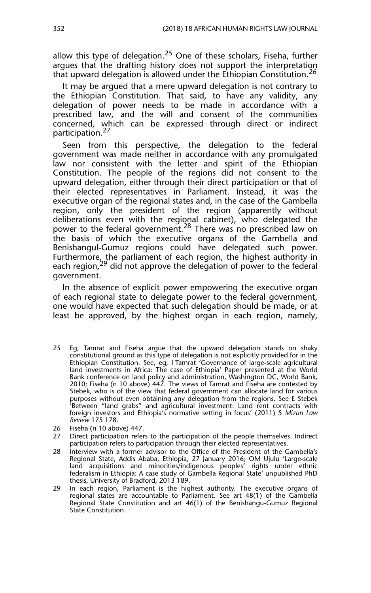allow this type of delegation.<sup>25</sup> One of these scholars, Fiseha, further argues that the drafting history does not support the interpretation that upward delegation is allowed under the Ethiopian Constitution.<sup>26</sup>

It may be argued that a mere upward delegation is not contrary to the Ethiopian Constitution. That said, to have any validity, any delegation of power needs to be made in accordance with a prescribed law, and the will and consent of the communities concerned, which can be expressed through direct or indirect participation.<sup>27</sup>

Seen from this perspective, the delegation to the federal government was made neither in accordance with any promulgated law nor consistent with the letter and spirit of the Ethiopian Constitution. The people of the regions did not consent to the upward delegation, either through their direct participation or that of their elected representatives in Parliament. Instead, it was the executive organ of the regional states and, in the case of the Gambella region, only the president of the region (apparently without deliberations even with the regional cabinet), who delegated the power to the federal government.<sup>28</sup> There was no prescribed law on the basis of which the executive organs of the Gambella and Benishangul-Gumuz regions could have delegated such power. Furthermore, the parliament of each region, the highest authority in each region,<sup>29</sup> did not approve the delegation of power to the federal government.

In the absence of explicit power empowering the executive organ of each regional state to delegate power to the federal government, one would have expected that such delegation should be made, or at least be approved, by the highest organ in each region, namely,

<sup>25</sup> Eg, Tamrat and Fiseha argue that the upward delegation stands on shaky constitutional ground as this type of delegation is not explicitly provided for in the Ethiopian Constitution. See, eg, I Tamrat 'Governance of large-scale agricultural land investments in Africa: The case of Ethiopia' Paper presented at the World Bank conference on land policy and administration, Washington DC, World Bank, 2010; Fiseha (n 10 above) 447. The views of Tamrat and Fiseha are contested by Stebek, who is of the view that federal government can allocate land for various purposes without even obtaining any delegation from the regions. See E Stebek 'Between "land grabs" and agricultural investment: Land rent contracts with foreign investors and Ethiopia's normative setting in focus' (2011) 5 *Mizan Law Review* 175 178.

<sup>26</sup> Fiseha (n 10 above) 447.

<sup>27</sup> Direct participation refers to the participation of the people themselves. Indirect participation refers to participation through their elected representatives.

<sup>28</sup> Interview with a former advisor to the Office of the President of the Gambella's Regional State, Addis Ababa, Ethiopia, 27 January 2016; OM Ujulu 'Large-scale land acquisitions and minorities/indigenous peoples' rights under ethnic federalism in Ethiopia: A case study of Gambella Regional State' unpublished PhD thesis, University of Bradford, 2013 189.

<sup>29</sup> In each region, Parliament is the highest authority. The executive organs of regional states are accountable to Parliament. See art 48(1) of the Gambella Regional State Constitution and art 46(1) of the Benishangu-Gumuz Regional State Constitution.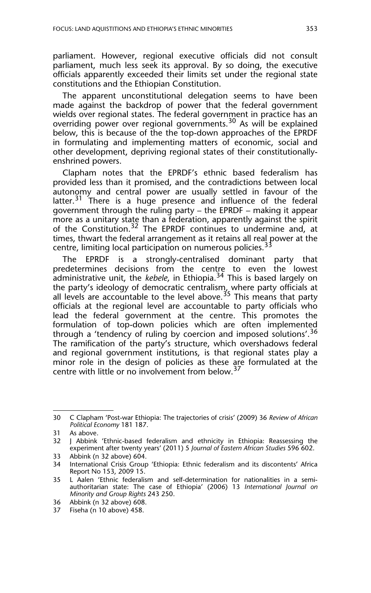parliament. However, regional executive officials did not consult parliament, much less seek its approval. By so doing, the executive officials apparently exceeded their limits set under the regional state constitutions and the Ethiopian Constitution.

The apparent unconstitutional delegation seems to have been made against the backdrop of power that the federal government wields over regional states. The federal government in practice has an overriding power over regional governments.<sup>30</sup> As will be explained below, this is because of the the top-down approaches of the EPRDF in formulating and implementing matters of economic, social and other development, depriving regional states of their constitutionallyenshrined powers.

Clapham notes that the EPRDF's ethnic based federalism has provided less than it promised, and the contradictions between local autonomy and central power are usually settled in favour of the latter.<sup>31</sup> There is a huge presence and influence of the federal government through the ruling party – the EPRDF – making it appear more as a unitary state than a federation, apparently against the spirit of the Constitution.<sup>32</sup> The EPRDF continues to undermine and, at times, thwart the federal arrangement as it retains all real power at the centre, limiting local participation on numerous policies.<sup>33</sup>

The EPRDF is a strongly-centralised dominant party that predetermines decisions from the centre to even the lowest administrative unit, the *kebele*, in Ethiopia.<sup>34</sup> This is based largely on the party's ideology of democratic centralism, where party officials at all levels are accountable to the level above.  $35$  This means that party officials at the regional level are accountable to party officials who lead the federal government at the centre. This promotes the formulation of top-down policies which are often implemented through a 'tendency of ruling by coercion and imposed solutions'.<sup>36</sup> The ramification of the party's structure, which overshadows federal and regional government institutions, is that regional states play a minor role in the design of policies as these are formulated at the centre with little or no involvement from below.<sup>37</sup>

<sup>30</sup> C Clapham 'Post-war Ethiopia: The trajectories of crisis' (2009) 36 *Review of African Political Economy* 181 187.

<sup>31</sup> As above.

<sup>32</sup> J Abbink 'Ethnic-based federalism and ethnicity in Ethiopia: Reassessing the experiment after twenty years' (2011) 5 *Journal of Eastern African Studies* 596 602.

<sup>33</sup> Abbink (n 32 above) 604.

<sup>34</sup> International Crisis Group 'Ethiopia: Ethnic federalism and its discontents' Africa Report No 153, 2009 15.

<sup>35</sup> L Aalen 'Ethnic federalism and self-determination for nationalities in a semiauthoritarian state: The case of Ethiopia' (2006) 13 *International Journal on Minority and Group Rights* 243 250.

<sup>36</sup> Abbink (n 32 above) 608.

<sup>37</sup> Fiseha (n 10 above) 458.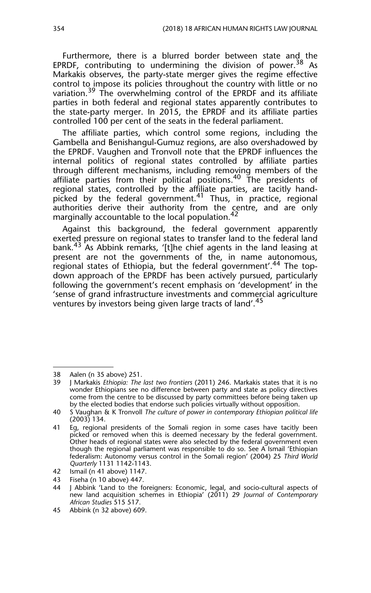Furthermore, there is a blurred border between state and the EPRDF, contributing to undermining the division of power.<sup>38</sup> As Markakis observes, the party-state merger gives the regime effective control to impose its policies throughout the country with little or no variation.<sup>39</sup> The overwhelming control of the EPRDF and its affiliate parties in both federal and regional states apparently contributes to the state-party merger. In 2015, the EPRDF and its affiliate parties controlled 100 per cent of the seats in the federal parliament.

The affiliate parties, which control some regions, including the Gambella and Benishangul-Gumuz regions, are also overshadowed by the EPRDF. Vaughen and Tronvoll note that the EPRDF influences the internal politics of regional states controlled by affiliate parties through different mechanisms, including removing members of the affiliate parties from their political positions.<sup>40</sup> The presidents of regional states, controlled by the affiliate parties, are tacitly handpicked by the federal government.41 Thus, in practice, regional authorities derive their authority from the centre, and are only marginally accountable to the local population.<sup>42</sup>

Against this background, the federal government apparently exerted pressure on regional states to transfer land to the federal land bank.<sup>43</sup> As Abbink remarks, '[t]he chief agents in the land leasing at present are not the governments of the, in name autonomous, regional states of Ethiopia, but the federal government'.<sup>44</sup> The topdown approach of the EPRDF has been actively pursued, particularly following the government's recent emphasis on 'development' in the 'sense of grand infrastructure investments and commercial agriculture ventures by investors being given large tracts of land'.<sup>45</sup>

<sup>38</sup> Aalen (n 35 above) 251.

<sup>39</sup> J Markakis *Ethiopia: The last two frontiers* (2011) 246. Markakis states that it is no wonder Ethiopians see no difference between party and state as policy directives come from the centre to be discussed by party committees before being taken up by the elected bodies that endorse such policies virtually without opposition.

<sup>40</sup> S Vaughan & K Tronvoll *The culture of power in contemporary Ethiopian political life* (2003) 134.

<sup>41</sup> Eg, regional presidents of the Somali region in some cases have tacitly been picked or removed when this is deemed necessary by the federal government. Other heads of regional states were also selected by the federal government even though the regional parliament was responsible to do so. See A Ismail 'Ethiopian federalism: Autonomy versus control in the Somali region' (2004) 25 *Third World Quarterly* 1131 1142-1143.

<sup>42</sup> Ismail (n 41 above) 1147.

<sup>43</sup> Fiseha (n 10 above) 447.

<sup>44</sup> J Abbink 'Land to the foreigners: Economic, legal, and socio-cultural aspects of new land acquisition schemes in Ethiopia' (2011) 29 *Journal of Contemporary African Studies* 515 517.

<sup>45</sup> Abbink (n 32 above) 609.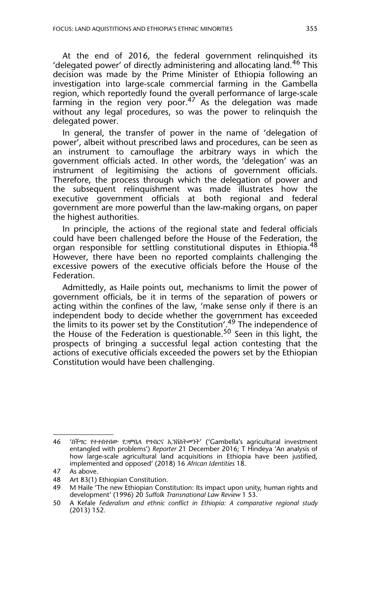At the end of 2016, the federal government relinquished its 'delegated power' of directly administering and allocating land.<sup>46</sup> This decision was made by the Prime Minister of Ethiopia following an investigation into large-scale commercial farming in the Gambella region, which reportedly found the overall performance of large-scale farming in the region very poor.<sup>47</sup> As the delegation was made without any legal procedures, so was the power to relinquish the delegated power.

In general, the transfer of power in the name of 'delegation of power', albeit without prescribed laws and procedures, can be seen as an instrument to camouflage the arbitrary ways in which the government officials acted. In other words, the 'delegation' was an instrument of legitimising the actions of government officials. Therefore, the process through which the delegation of power and the subsequent relinquishment was made illustrates how the executive government officials at both regional and federal government are more powerful than the law-making organs, on paper the highest authorities.

In principle, the actions of the regional state and federal officials could have been challenged before the House of the Federation, the organ responsible for settling constitutional disputes in Ethiopia.<sup>48</sup> However, there have been no reported complaints challenging the excessive powers of the executive officials before the House of the Federation.

Admittedly, as Haile points out, mechanisms to limit the power of government officials, be it in terms of the separation of powers or acting within the confines of the law, 'make sense only if there is an independent body to decide whether the government has exceeded the limits to its power set by the Constitution'.<sup>49</sup> The independence of the House of the Federation is questionable.<sup>50</sup> Seen in this light, the prospects of bringing a successful legal action contesting that the actions of executive officials exceeded the powers set by the Ethiopian Constitution would have been challenging.

<sup>46 &#</sup>x27;በችግር የተተበተበው የጋምቤላ የግብርና ኢንቨስትመንት' ('Gambella's agricultural investment entangled with problems') *Reporter* 21 December 2016; T Hindeya 'An analysis of how large-scale agricultural land acquisitions in Ethiopia have been justified, implemented and opposed' (2018) 16 *African Identities* 18.

<sup>47</sup> As above.

<sup>48</sup> Art 83(1) Ethiopian Constitution.

<sup>49</sup> M Haile 'The new Ethiopian Constitution: Its impact upon unity, human rights and development' (1996) 20 *Suffolk Transnational Law Review* 1 53.

<sup>50</sup> A Kefale *Federalism and ethnic conflict in Ethiopia: A comparative regional study* (2013) 152.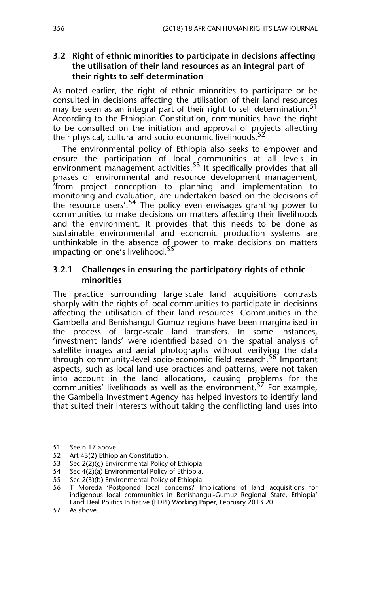#### **3.2 Right of ethnic minorities to participate in decisions affecting the utilisation of their land resources as an integral part of their rights to self-determination**

As noted earlier, the right of ethnic minorities to participate or be consulted in decisions affecting the utilisation of their land resources may be seen as an integral part of their right to self-determination.<sup>51</sup> According to the Ethiopian Constitution, communities have the right to be consulted on the initiation and approval of projects affecting their physical, cultural and socio-economic livelihoods.<sup>52</sup>

The environmental policy of Ethiopia also seeks to empower and ensure the participation of local communities at all levels in environment management activities.<sup>53</sup> It specifically provides that all phases of environmental and resource development management, 'from project conception to planning and implementation to monitoring and evaluation, are undertaken based on the decisions of the resource users'.<sup>54</sup> The policy even envisages granting power to communities to make decisions on matters affecting their livelihoods and the environment. It provides that this needs to be done as sustainable environmental and economic production systems are unthinkable in the absence of power to make decisions on matters impacting on one's livelihood.<sup>55</sup>

#### **3.2.1 Challenges in ensuring the participatory rights of ethnic minorities**

The practice surrounding large-scale land acquisitions contrasts sharply with the rights of local communities to participate in decisions affecting the utilisation of their land resources. Communities in the Gambella and Benishangul-Gumuz regions have been marginalised in the process of large-scale land transfers. In some instances, 'investment lands' were identified based on the spatial analysis of satellite images and aerial photographs without verifying the data through community-level socio-economic field research.<sup>56</sup> Important aspects, such as local land use practices and patterns, were not taken into account in the land allocations, causing problems for the communities' livelihoods as well as the environment.<sup>57</sup> For example, the Gambella Investment Agency has helped investors to identify land that suited their interests without taking the conflicting land uses into

<sup>51</sup> See n 17 above.

<sup>52</sup> Art 43(2) Ethiopian Constitution.<br>53 Sec 2(2)(g) Environmental Policy

Sec 2(2)(g) Environmental Policy of Ethiopia.

<sup>54</sup> Sec 4(2)(a) Environmental Policy of Ethiopia.

<sup>55</sup> Sec 2(3)(b) Environmental Policy of Ethiopia.

<sup>56</sup> T Moreda 'Postponed local concerns? Implications of land acquisitions for indigenous local communities in Benishangul-Gumuz Regional State, Ethiopia' Land Deal Politics Initiative (LDPI) Working Paper, February 2013 20.

<sup>57</sup> As above.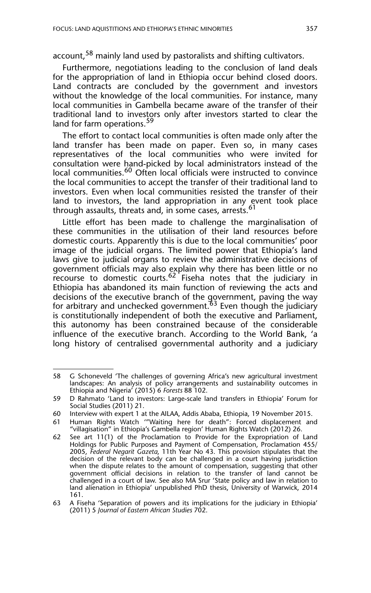account,<sup>58</sup> mainly land used by pastoralists and shifting cultivators.

Furthermore, negotiations leading to the conclusion of land deals for the appropriation of land in Ethiopia occur behind closed doors. Land contracts are concluded by the government and investors without the knowledge of the local communities. For instance, many local communities in Gambella became aware of the transfer of their traditional land to investors only after investors started to clear the land for farm operations.<sup>59</sup>

The effort to contact local communities is often made only after the land transfer has been made on paper. Even so, in many cases representatives of the local communities who were invited for consultation were hand-picked by local administrators instead of the local communities.<sup>60</sup> Often local officials were instructed to convince the local communities to accept the transfer of their traditional land to investors. Even when local communities resisted the transfer of their land to investors, the land appropriation in any event took place through assaults, threats and, in some cases, arrests.<sup>61</sup>

Little effort has been made to challenge the marginalisation of these communities in the utilisation of their land resources before domestic courts. Apparently this is due to the local communities' poor image of the judicial organs. The limited power that Ethiopia's land laws give to judicial organs to review the administrative decisions of government officials may also explain why there has been little or no recourse to domestic courts.<sup>62</sup> Fiseha notes that the judiciary in Ethiopia has abandoned its main function of reviewing the acts and decisions of the executive branch of the government, paving the way for arbitrary and unchecked government. $^{63}$  Even though the judiciary is constitutionally independent of both the executive and Parliament, this autonomy has been constrained because of the considerable influence of the executive branch. According to the World Bank, 'a long history of centralised governmental authority and a judiciary

<sup>58</sup> G Schoneveld 'The challenges of governing Africa's new agricultural investment landscapes: An analysis of policy arrangements and sustainability outcomes in Ethiopia and Nigeria' (2015) 6 *Forests* 88 102.

<sup>59</sup> D Rahmato 'Land to investors: Large-scale land transfers in Ethiopia' Forum for Social Studies (2011) 21.

<sup>60</sup> Interview with expert 1 at the AILAA, Addis Ababa, Ethiopia, 19 November 2015.

<sup>61</sup> Human Rights Watch '"Waiting here for death": Forced displacement and "villagisation" in Ethiopia's Gambella region' Human Rights Watch (2012) 26.

<sup>62</sup> See art 11(1) of the Proclamation to Provide for the Expropriation of Land Holdings for Public Purposes and Payment of Compensation, Proclamation 455/ 2005, *Federal Negarit Gazeta*, 11th Year No 43. This provision stipulates that the decision of the relevant body can be challenged in a court having jurisdiction when the dispute relates to the amount of compensation, suggesting that other government official decisions in relation to the transfer of land cannot be challenged in a court of law. See also MA Srur 'State policy and law in relation to land alienation in Ethiopia' unpublished PhD thesis, University of Warwick, 2014 161.

<sup>63</sup> A Fiseha 'Separation of powers and its implications for the judiciary in Ethiopia' (2011) 5 *Journal of Eastern African Studies* 702.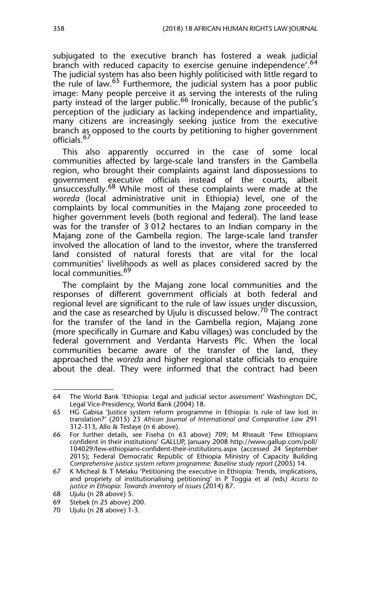subjugated to the executive branch has fostered a weak judicial branch with reduced capacity to exercise genuine independence'.<sup>64</sup> The judicial system has also been highly politicised with little regard to the rule of law.<sup>65</sup> Furthermore, the judicial system has a poor public image: Many people perceive it as serving the interests of the ruling party instead of the larger public.<sup>66</sup> Ironically, because of the public's perception of the judiciary as lacking independence and impartiality, many citizens are increasingly seeking justice from the executive branch as opposed to the courts by petitioning to higher government officials.<sup>67</sup>

This also apparently occurred in the case of some local communities affected by large-scale land transfers in the Gambella region, who brought their complaints against land dispossessions to government executive officials instead of the courts, albeit unsuccessfully.<sup>68</sup> While most of these complaints were made at the *woreda* (local administrative unit in Ethiopia) level, one of the complaints by local communities in the Majang zone proceeded to higher government levels (both regional and federal). The land lease was for the transfer of 3 012 hectares to an Indian company in the Majang zone of the Gambella region. The large-scale land transfer involved the allocation of land to the investor, where the transferred land consisted of natural forests that are vital for the local communities' livelihoods as well as places considered sacred by the local communities.<sup>69</sup>

The complaint by the Majang zone local communities and the responses of different government officials at both federal and regional level are significant to the rule of law issues under discussion, and the case as researched by Ujulu is discussed below.<sup>70</sup> The contract for the transfer of the land in the Gambella region, Majang zone (more specifically in Gumare and Kabu villages) was concluded by the federal government and Verdanta Harvests Plc. When the local communities became aware of the transfer of the land, they approached the *woreda* and higher regional state officials to enquire about the deal. They were informed that the contract had been

<sup>64</sup> The World Bank 'Ethiopia: Legal and judicial sector assessment' Washington DC, Legal Vice-Presidency, World Bank (2004) 18.

<sup>65</sup> HG Gabisa 'Justice system reform programme in Ethiopia: Is rule of law lost in translation?' (2015) 23 *African Journal of International and Comparative Law* 291 312-313, Allo & Tesfaye (n 6 above).

<sup>66</sup> For further details, see Fiseha (n 63 above) 709; M Rheault 'Few Ethiopians confident in their institutions' GALLUP, January 2008 http://www.gallup.com/poll/ 104029/few-ethiopians-confident-their-institutions.aspx (accessed 24 September 2015); Federal Democratic Republic of Ethiopia Ministry of Capacity Building *Comprehensive justice system reform programme: Baseline study report* (2005) 14.

<sup>67</sup> K Micheal & T Melaku 'Petitioning the executive in Ethiopia: Trends, implications, and propriety of institutionalising petitioning' in P Toggia et al *(*eds*) Access to justice in Ethiopia: Towards inventory of issues* (2014) 87.

<sup>68</sup> Ujulu (n 28 above) 5.

<sup>69</sup> Stebek (n 25 above) 200.

<sup>70</sup> Ujulu (n 28 above) 1-3.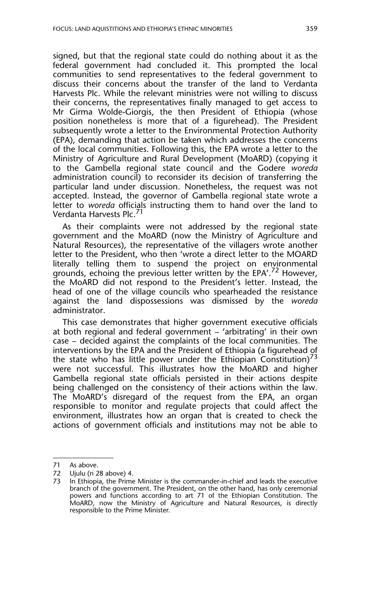signed, but that the regional state could do nothing about it as the federal government had concluded it. This prompted the local communities to send representatives to the federal government to discuss their concerns about the transfer of the land to Verdanta Harvests Plc. While the relevant ministries were not willing to discuss their concerns, the representatives finally managed to get access to Mr Girma Wolde-Giorgis, the then President of Ethiopia (whose position nonetheless is more that of a figurehead). The President subsequently wrote a letter to the Environmental Protection Authority (EPA), demanding that action be taken which addresses the concerns of the local communities. Following this, the EPA wrote a letter to the Ministry of Agriculture and Rural Development (MoARD) (copying it to the Gambella regional state council and the Godere *woreda* administration council) to reconsider its decision of transferring the particular land under discussion. Nonetheless, the request was not accepted. Instead, the governor of Gambella regional state wrote a letter to *woreda* officials instructing them to hand over the land to Verdanta Harvests Plc.<sup>71</sup>

As their complaints were not addressed by the regional state government and the MoARD (now the Ministry of Agriculture and Natural Resources), the representative of the villagers wrote another letter to the President, who then 'wrote a direct letter to the MOARD literally telling them to suspend the project on environmental grounds, echoing the previous letter written by the EPA'.72 However, the MoARD did not respond to the President's letter. Instead, the head of one of the village councils who spearheaded the resistance against the land dispossessions was dismissed by the *woreda* administrator.

This case demonstrates that higher government executive officials at both regional and federal government – 'arbitrating' in their own case – decided against the complaints of the local communities. The interventions by the EPA and the President of Ethiopia (a figurehead of the state who has little power under the Ethiopian Constitution)<sup>73</sup> were not successful. This illustrates how the MoARD and higher Gambella regional state officials persisted in their actions despite being challenged on the consistency of their actions within the law. The MoARD's disregard of the request from the EPA, an organ responsible to monitor and regulate projects that could affect the environment, illustrates how an organ that is created to check the actions of government officials and institutions may not be able to

<sup>71</sup> As above.

<sup>72</sup> Ujulu (n 28 above) 4.<br>73 Lin Ethionia, the Prime

In Ethiopia, the Prime Minister is the commander-in-chief and leads the executive branch of the government. The President, on the other hand, has only ceremonial powers and functions according to art 71 of the Ethiopian Constitution. The MoARD, now the Ministry of Agriculture and Natural Resources, is directly responsible to the Prime Minister.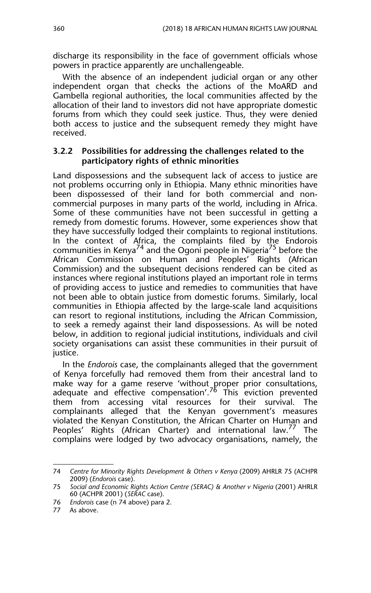discharge its responsibility in the face of government officials whose powers in practice apparently are unchallengeable.

With the absence of an independent judicial organ or any other independent organ that checks the actions of the MoARD and Gambella regional authorities, the local communities affected by the allocation of their land to investors did not have appropriate domestic forums from which they could seek justice. Thus, they were denied both access to justice and the subsequent remedy they might have received.

#### **3.2.2 Possibilities for addressing the challenges related to the participatory rights of ethnic minorities**

Land dispossessions and the subsequent lack of access to justice are not problems occurring only in Ethiopia. Many ethnic minorities have been dispossessed of their land for both commercial and noncommercial purposes in many parts of the world, including in Africa. Some of these communities have not been successful in getting a remedy from domestic forums. However, some experiences show that they have successfully lodged their complaints to regional institutions. In the context of Africa, the complaints filed by the Endorois communities in Kenya<sup>74</sup> and the Ogoni people in Nigeria<sup>75</sup> before the African Commission on Human and Peoples' Rights (African Commission) and the subsequent decisions rendered can be cited as instances where regional institutions played an important role in terms of providing access to justice and remedies to communities that have not been able to obtain justice from domestic forums. Similarly, local communities in Ethiopia affected by the large-scale land acquisitions can resort to regional institutions, including the African Commission, to seek a remedy against their land dispossessions. As will be noted below, in addition to regional judicial institutions, individuals and civil society organisations can assist these communities in their pursuit of justice.

In the *Endorois* case, the complainants alleged that the government of Kenya forcefully had removed them from their ancestral land to make way for a game reserve 'without proper prior consultations, adequate and effective compensation'.<sup>76</sup> This eviction prevented them from accessing vital resources for their survival. The complainants alleged that the Kenyan government's measures violated the Kenyan Constitution, the African Charter on Human and Peoples' Rights (African Charter) and international law.<sup>77</sup> The complains were lodged by two advocacy organisations, namely, the

<sup>74</sup> *Centre for Minority Rights Development & Others v Kenya* (2009) AHRLR 75 (ACHPR 2009) (*Endorois* case).

<sup>75</sup> *Social and Economic Rights Action Centre (SERAC) & Another v Nigeria* (2001) AHRLR 60 (ACHPR 2001) (*SERAC* case).

<sup>76</sup> *Endorois* case (n 74 above) para 2.

<sup>77</sup> As above.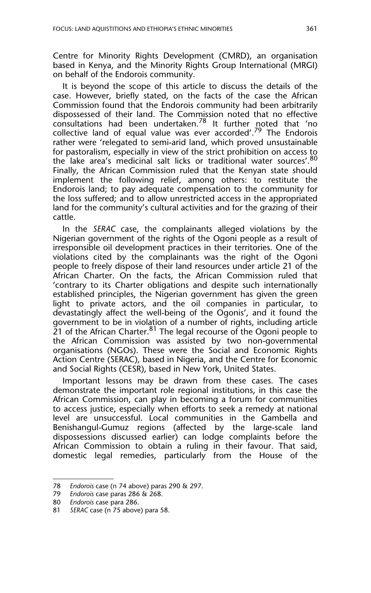Centre for Minority Rights Development (CMRD), an organisation based in Kenya, and the Minority Rights Group International (MRGI) on behalf of the Endorois community.

It is beyond the scope of this article to discuss the details of the case. However, briefly stated, on the facts of the case the African Commission found that the Endorois community had been arbitrarily dispossessed of their land. The Commission noted that no effective consultations had been undertaken.<sup>78</sup> It further noted that 'no collective land of equal value was ever accorded'.<sup>79</sup> The Endorois rather were 'relegated to semi-arid land, which proved unsustainable for pastoralism, especially in view of the strict prohibition on access to the lake area's medicinal salt licks or traditional water sources'. 80 Finally, the African Commission ruled that the Kenyan state should implement the following relief, among others: to restitute the Endorois land; to pay adequate compensation to the community for the loss suffered; and to allow unrestricted access in the appropriated land for the community's cultural activities and for the grazing of their cattle.

In the *SERAC* case, the complainants alleged violations by the Nigerian government of the rights of the Ogoni people as a result of irresponsible oil development practices in their territories. One of the violations cited by the complainants was the right of the Ogoni people to freely dispose of their land resources under article 21 of the African Charter. On the facts, the African Commission ruled that 'contrary to its Charter obligations and despite such internationally established principles, the Nigerian government has given the green light to private actors, and the oil companies in particular, to devastatingly affect the well-being of the Ogonis', and it found the government to be in violation of a number of rights, including article  $\overline{2}1$  of the African Charter.<sup>81</sup> The legal recourse of the Ogoni people to the African Commission was assisted by two non-governmental organisations (NGOs). These were the Social and Economic Rights Action Centre (SERAC), based in Nigeria, and the Centre for Economic and Social Rights (CESR), based in New York, United States.

Important lessons may be drawn from these cases. The cases demonstrate the important role regional institutions, in this case the African Commission, can play in becoming a forum for communities to access justice, especially when efforts to seek a remedy at national level are unsuccessful. Local communities in the Gambella and Benishangul-Gumuz regions (affected by the large-scale land dispossessions discussed earlier) can lodge complaints before the African Commission to obtain a ruling in their favour. That said, domestic legal remedies, particularly from the House of the

<sup>78</sup> *Endorois* case (n 74 above) paras 290 & 297.

<sup>79</sup> *Endorois* case paras 286 & 268.

<sup>80</sup> *Endorois* case para 286.

<sup>81</sup> *SERAC* case (n 75 above) para 58.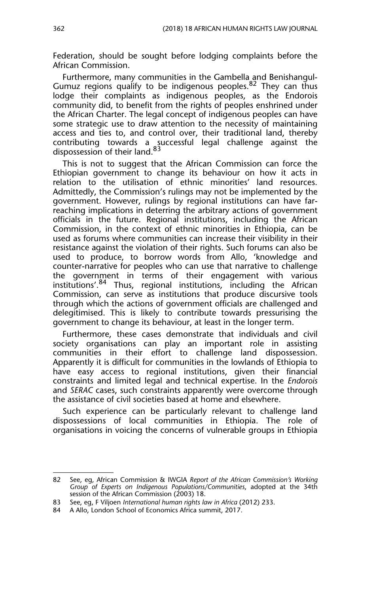Federation, should be sought before lodging complaints before the African Commission.

Furthermore, many communities in the Gambella and Benishangul-Gumuz regions qualify to be indigenous peoples.<sup>82</sup> They can thus lodge their complaints as indigenous peoples, as the Endorois community did, to benefit from the rights of peoples enshrined under the African Charter. The legal concept of indigenous peoples can have some strategic use to draw attention to the necessity of maintaining access and ties to, and control over, their traditional land, thereby contributing towards a successful legal challenge against the dispossession of their land.<sup>83</sup>

This is not to suggest that the African Commission can force the Ethiopian government to change its behaviour on how it acts in relation to the utilisation of ethnic minorities' land resources. Admittedly, the Commission's rulings may not be implemented by the government. However, rulings by regional institutions can have farreaching implications in deterring the arbitrary actions of government officials in the future. Regional institutions, including the African Commission, in the context of ethnic minorities in Ethiopia, can be used as forums where communities can increase their visibility in their resistance against the violation of their rights. Such forums can also be used to produce, to borrow words from Allo, 'knowledge and counter-narrative for peoples who can use that narrative to challenge the government in terms of their engagement with various institutions'.<sup>84</sup> Thus, regional institutions, including the African Commission, can serve as institutions that produce discursive tools through which the actions of government officials are challenged and delegitimised. This is likely to contribute towards pressurising the government to change its behaviour, at least in the longer term.

Furthermore, these cases demonstrate that individuals and civil society organisations can play an important role in assisting communities in their effort to challenge land dispossession. Apparently it is difficult for communities in the lowlands of Ethiopia to have easy access to regional institutions, given their financial constraints and limited legal and technical expertise. In the *Endorois* and *SERAC* cases, such constraints apparently were overcome through the assistance of civil societies based at home and elsewhere.

Such experience can be particularly relevant to challenge land dispossessions of local communities in Ethiopia. The role of organisations in voicing the concerns of vulnerable groups in Ethiopia

<sup>82</sup> See, eg, African Commission & IWGIA *Report of the African Commission's Working Group of Experts on Indigenous Populations/Communities*, adopted at the 34th session of the African Commission (2003) 18.

<sup>83</sup> See, eg, F Viljoen *International human rights law in Africa* (2012) 233.

<sup>84</sup> A Allo, London School of Economics Africa summit, 2017.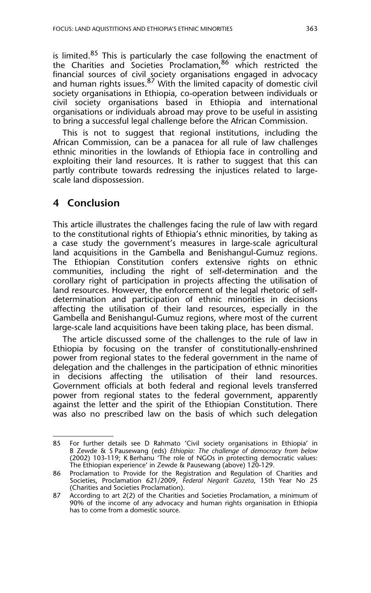is limited. $85$  This is particularly the case following the enactment of the Charities and Societies Proclamation,86 which restricted the financial sources of civil society organisations engaged in advocacy and human rights issues.<sup>87</sup> With the limited capacity of domestic civil society organisations in Ethiopia, co-operation between individuals or civil society organisations based in Ethiopia and international organisations or individuals abroad may prove to be useful in assisting to bring a successful legal challenge before the African Commission.

This is not to suggest that regional institutions, including the African Commission, can be a panacea for all rule of law challenges ethnic minorities in the lowlands of Ethiopia face in controlling and exploiting their land resources. It is rather to suggest that this can partly contribute towards redressing the injustices related to largescale land dispossession.

### **4 Conclusion**

This article illustrates the challenges facing the rule of law with regard to the constitutional rights of Ethiopia's ethnic minorities, by taking as a case study the government's measures in large-scale agricultural land acquisitions in the Gambella and Benishangul-Gumuz regions. The Ethiopian Constitution confers extensive rights on ethnic communities, including the right of self-determination and the corollary right of participation in projects affecting the utilisation of land resources. However, the enforcement of the legal rhetoric of selfdetermination and participation of ethnic minorities in decisions affecting the utilisation of their land resources, especially in the Gambella and Benishangul-Gumuz regions, where most of the current large-scale land acquisitions have been taking place, has been dismal.

The article discussed some of the challenges to the rule of law in Ethiopia by focusing on the transfer of constitutionally-enshrined power from regional states to the federal government in the name of delegation and the challenges in the participation of ethnic minorities in decisions affecting the utilisation of their land resources. Government officials at both federal and regional levels transferred power from regional states to the federal government, apparently against the letter and the spirit of the Ethiopian Constitution. There was also no prescribed law on the basis of which such delegation

<sup>85</sup> For further details see D Rahmato 'Civil society organisations in Ethiopia' in B Zewde & S Pausewang (eds) *Ethiopia: The challenge of democracy from below* (2002) 103-119; K Berhanu 'The role of NGOs in protecting democratic values: The Ethiopian experience' in Zewde & Pausewang (above) 120-129.

<sup>86</sup> Proclamation to Provide for the Registration and Regulation of Charities and Societies, Proclamation 621/2009, *Federal Negarit Gazeta*, 15th Year No 25 (Charities and Societies Proclamation).

<sup>87</sup> According to art 2(2) of the Charities and Societies Proclamation, a minimum of 90% of the income of any advocacy and human rights organisation in Ethiopia has to come from a domestic source.